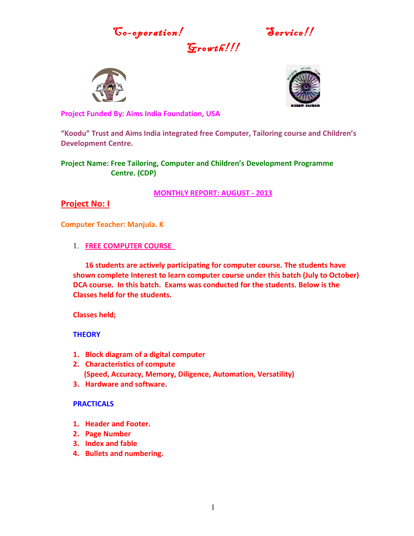Go-operation! Service!!

 $G$ rowth!





**Project Funded By: Aims India Foundation, USA**

**"Koodu" Trust and Aims India integrated free Computer, Tailoring course and Children's Development Centre.**

**Project Name: Free Tailoring, Computer and Children's Development Programme Centre. (CDP)**

**MONTHLY REPORT: AUGUST - 2013**

## **Project No: I**

**Computer Teacher: Manjula. K**

1. **FREE COMPUTER COURSE** 

**16 students are actively participating for computer course. The students have shown complete Interest to learn computer course under this batch (July to October) DCA course. In this batch. Exams was conducted for the students. Below is the Classes held for the students.**

**Classes held;**

**THEORY**

- **1. Block diagram of a digital computer**
- **2. Characteristics of compute (Speed, Accuracy, Memory, Diligence, Automation, Versatility)**
- **3. Hardware and software.**

#### **PRACTICALS**

- **1. Header and Footer.**
- **2. Page Number**
- **3. Index and fable**
- **4. Bullets and numbering.**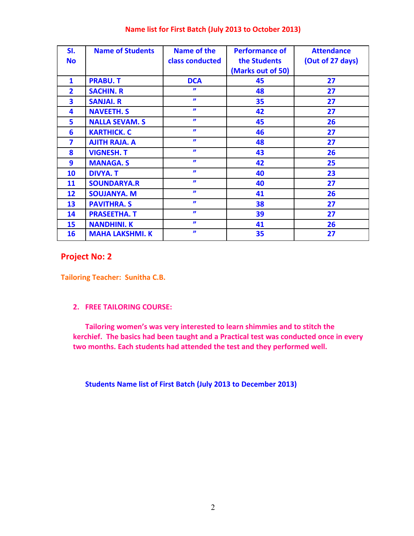| SI.<br><b>No</b> | <b>Name of Students</b> | Name of the<br>class conducted | <b>Performance of</b><br>the Students | <b>Attendance</b><br>(Out of 27 days) |
|------------------|-------------------------|--------------------------------|---------------------------------------|---------------------------------------|
|                  |                         |                                | (Marks out of 50)                     |                                       |
| 1                | <b>PRABU.T</b>          | <b>DCA</b>                     | 45                                    | 27                                    |
| $\overline{2}$   | <b>SACHIN. R</b>        | $\boldsymbol{\eta}$            | 48                                    | 27                                    |
| 3                | <b>SANJAI. R</b>        | $\boldsymbol{\eta}$            | 35                                    | 27                                    |
| 4                | <b>NAVEETH. S</b>       | $\boldsymbol{\eta}$            | 42                                    | 27                                    |
| 5                | <b>NALLA SEVAM. S</b>   | $\boldsymbol{\eta}$            | 45                                    | 26                                    |
| 6                | <b>KARTHICK. C</b>      | $\boldsymbol{\eta}$            | 46                                    | 27                                    |
| 7                | <b>AJITH RAJA. A</b>    | $\boldsymbol{\eta}$            | 48                                    | 27                                    |
| 8                | <b>VIGNESH. T</b>       | $\boldsymbol{\eta}$            | 43                                    | 26                                    |
| 9                | <b>MANAGA.S</b>         | $\boldsymbol{\eta}$            | 42                                    | 25                                    |
| 10               | <b>DIVYA. T</b>         | $\boldsymbol{\eta}$            | 40                                    | 23                                    |
| 11               | <b>SOUNDARYA.R</b>      | $\boldsymbol{\eta}$            | 40                                    | 27                                    |
| 12               | <b>SOUJANYA. M</b>      | $\boldsymbol{\eta}$            | 41                                    | 26                                    |
| 13               | <b>PAVITHRA. S</b>      | $\boldsymbol{\eta}$            | 38                                    | 27                                    |
| 14               | <b>PRASEETHA. T</b>     | $\boldsymbol{\eta}$            | 39                                    | 27                                    |
| 15               | <b>NANDHINI. K</b>      | $\boldsymbol{\eta}$            | 41                                    | 26                                    |
| 16               | <b>MAHA LAKSHMI. K</b>  | $\boldsymbol{\eta}$            | 35                                    | 27                                    |

## **Name list for First Batch (July 2013 to October 2013)**

## **Project No: 2**

**Tailoring Teacher: Sunitha C.B.**

#### **2. FREE TAILORING COURSE:**

**Tailoring women's was very interested to learn shimmies and to stitch the kerchief. The basics had been taught and a Practical test was conducted once in every two months. Each students had attended the test and they performed well.** 

**Students Name list of First Batch (July 2013 to December 2013)**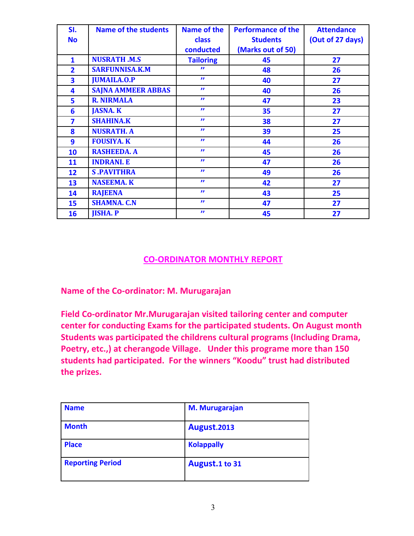| SI.                     | Name of the students      | Name of the      | <b>Performance of the</b> | <b>Attendance</b> |
|-------------------------|---------------------------|------------------|---------------------------|-------------------|
| <b>No</b>               |                           | <b>class</b>     | <b>Students</b>           | (Out of 27 days)  |
|                         |                           | conducted        | (Marks out of 50)         |                   |
| $\mathbf{1}$            | <b>NUSRATH .M.S</b>       | <b>Tailoring</b> | 45                        | 27                |
| $\overline{2}$          | <b>SARFUNNISA.K.M</b>     | "                | 48                        | 26                |
| $\overline{\mathbf{3}}$ | <b>JUMAILA.O.P</b>        | $\mathbf{r}$     | 40                        | 27                |
| 4                       | <b>SAJNA AMMEER ABBAS</b> | $\mathbf{r}$     | 40                        | 26                |
| 5                       | <b>R. NIRMALA</b>         | $\mathbf{r}$     | 47                        | 23                |
| 6                       | <b>JASNA. K</b>           | $\mathbf{r}$     | 35                        | 27                |
| 7                       | <b>SHAHINA.K</b>          | $\mathbf{v}$     | 38                        | 27                |
| 8                       | <b>NUSRATH. A</b>         | $\mathbf{H}$     | 39                        | 25                |
| 9                       | <b>FOUSIYA. K</b>         | $\mathbf{v}$     | 44                        | 26                |
| 10                      | <b>RASHEEDA. A</b>        | $\mathbf{r}$     | 45                        | 26                |
| 11                      | <b>INDRANI. E</b>         | $\mathbf{v}$     | 47                        | 26                |
| 12                      | <b>S.PAVITHRA</b>         | $\mathbf{v}$     | 49                        | 26                |
| 13                      | <b>NASEEMA. K</b>         | $\mathbf{H}$     | 42                        | 27                |
| 14                      | <b>RAJEENA</b>            | $\mathbf{v}$     | 43                        | 25                |
| 15                      | <b>SHAMNA. C.N</b>        | $\mathbf{v}$     | 47                        | 27                |
| 16                      | <b>JISHA. P</b>           | $\mathbf{v}$     | 45                        | 27                |

# **CO-ORDINATOR MONTHLY REPORT**

**Name of the Co-ordinator: M. Murugarajan**

**Field Co-ordinator Mr.Murugarajan visited tailoring center and computer center for conducting Exams for the participated students. On August month Students was participated the childrens cultural programs (Including Drama, Poetry, etc.,) at cherangode Village. Under this programe more than 150 students had participated. For the winners "Koodu" trust had distributed the prizes.**

| <b>Name</b>             | <b>M. Murugarajan</b> |
|-------------------------|-----------------------|
| <b>Month</b>            | August.2013           |
| <b>Place</b>            | <b>Kolappally</b>     |
| <b>Reporting Period</b> | August.1 to 31        |